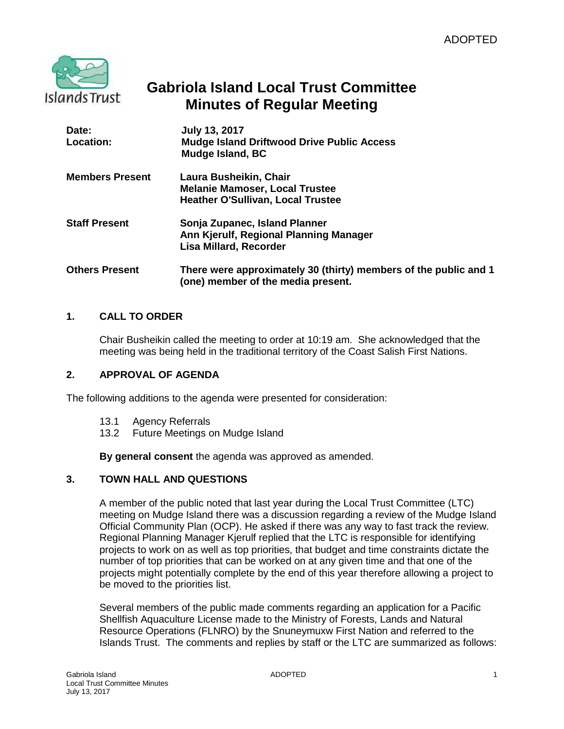

# **Gabriola Island Local Trust Committee Minutes of Regular Meeting**

| Date:<br>Location:     | <b>July 13, 2017</b><br><b>Mudge Island Driftwood Drive Public Access</b><br>Mudge Island, BC               |
|------------------------|-------------------------------------------------------------------------------------------------------------|
| <b>Members Present</b> | Laura Busheikin, Chair<br><b>Melanie Mamoser, Local Trustee</b><br><b>Heather O'Sullivan, Local Trustee</b> |
| <b>Staff Present</b>   | Sonja Zupanec, Island Planner<br>Ann Kjerulf, Regional Planning Manager<br>Lisa Millard, Recorder           |
| <b>Others Present</b>  | There were approximately 30 (thirty) members of the public and 1<br>(one) member of the media present.      |

# **1. CALL TO ORDER**

Chair Busheikin called the meeting to order at 10:19 am. She acknowledged that the meeting was being held in the traditional territory of the Coast Salish First Nations.

### **2. APPROVAL OF AGENDA**

The following additions to the agenda were presented for consideration:

- 13.1 Agency Referrals
- 13.2 Future Meetings on Mudge Island

**By general consent** the agenda was approved as amended.

### **3. TOWN HALL AND QUESTIONS**

A member of the public noted that last year during the Local Trust Committee (LTC) meeting on Mudge Island there was a discussion regarding a review of the Mudge Island Official Community Plan (OCP). He asked if there was any way to fast track the review. Regional Planning Manager Kjerulf replied that the LTC is responsible for identifying projects to work on as well as top priorities, that budget and time constraints dictate the number of top priorities that can be worked on at any given time and that one of the projects might potentially complete by the end of this year therefore allowing a project to be moved to the priorities list.

Several members of the public made comments regarding an application for a Pacific Shellfish Aquaculture License made to the Ministry of Forests, Lands and Natural Resource Operations (FLNRO) by the Snuneymuxw First Nation and referred to the Islands Trust. The comments and replies by staff or the LTC are summarized as follows: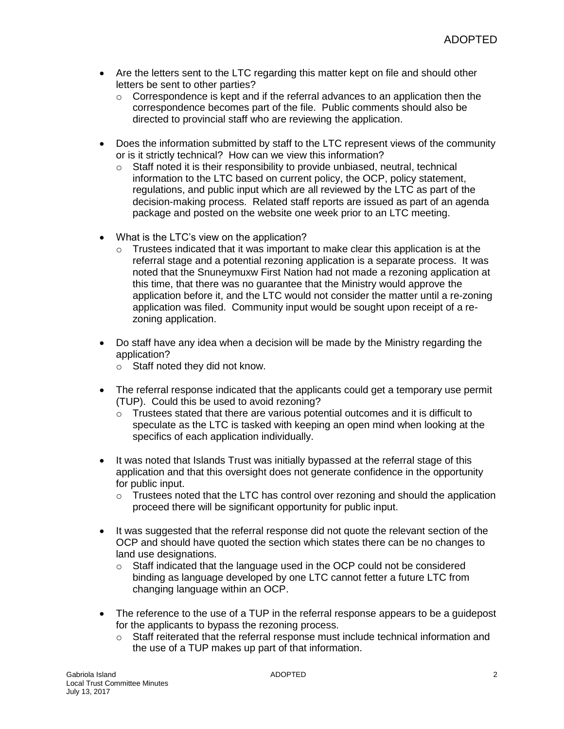- Are the letters sent to the LTC regarding this matter kept on file and should other letters be sent to other parties?
	- $\circ$  Correspondence is kept and if the referral advances to an application then the correspondence becomes part of the file. Public comments should also be directed to provincial staff who are reviewing the application.
- Does the information submitted by staff to the LTC represent views of the community or is it strictly technical? How can we view this information?
	- o Staff noted it is their responsibility to provide unbiased, neutral, technical information to the LTC based on current policy, the OCP, policy statement, regulations, and public input which are all reviewed by the LTC as part of the decision-making process. Related staff reports are issued as part of an agenda package and posted on the website one week prior to an LTC meeting.
- What is the LTC's view on the application?
	- $\circ$  Trustees indicated that it was important to make clear this application is at the referral stage and a potential rezoning application is a separate process. It was noted that the Snuneymuxw First Nation had not made a rezoning application at this time, that there was no guarantee that the Ministry would approve the application before it, and the LTC would not consider the matter until a re-zoning application was filed. Community input would be sought upon receipt of a rezoning application.
- Do staff have any idea when a decision will be made by the Ministry regarding the application?
	- o Staff noted they did not know.
- The referral response indicated that the applicants could get a temporary use permit (TUP). Could this be used to avoid rezoning?
	- $\circ$  Trustees stated that there are various potential outcomes and it is difficult to speculate as the LTC is tasked with keeping an open mind when looking at the specifics of each application individually.
- It was noted that Islands Trust was initially bypassed at the referral stage of this application and that this oversight does not generate confidence in the opportunity for public input.
	- $\circ$  Trustees noted that the LTC has control over rezoning and should the application proceed there will be significant opportunity for public input.
- It was suggested that the referral response did not quote the relevant section of the OCP and should have quoted the section which states there can be no changes to land use designations.
	- $\circ$  Staff indicated that the language used in the OCP could not be considered binding as language developed by one LTC cannot fetter a future LTC from changing language within an OCP.
- The reference to the use of a TUP in the referral response appears to be a quidepost for the applicants to bypass the rezoning process.
	- $\circ$  Staff reiterated that the referral response must include technical information and the use of a TUP makes up part of that information.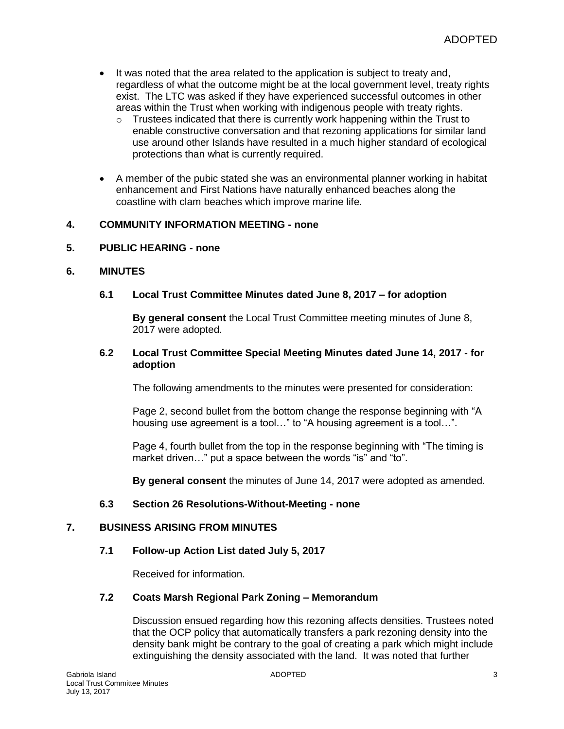- It was noted that the area related to the application is subject to treaty and, regardless of what the outcome might be at the local government level, treaty rights exist. The LTC was asked if they have experienced successful outcomes in other areas within the Trust when working with indigenous people with treaty rights.
	- $\circ$  Trustees indicated that there is currently work happening within the Trust to enable constructive conversation and that rezoning applications for similar land use around other Islands have resulted in a much higher standard of ecological protections than what is currently required.
- A member of the pubic stated she was an environmental planner working in habitat enhancement and First Nations have naturally enhanced beaches along the coastline with clam beaches which improve marine life.

# **4. COMMUNITY INFORMATION MEETING - none**

### **5. PUBLIC HEARING - none**

### **6. MINUTES**

### **6.1 Local Trust Committee Minutes dated June 8, 2017 – for adoption**

**By general consent** the Local Trust Committee meeting minutes of June 8, 2017 were adopted.

### **6.2 Local Trust Committee Special Meeting Minutes dated June 14, 2017 - for adoption**

The following amendments to the minutes were presented for consideration:

Page 2, second bullet from the bottom change the response beginning with "A housing use agreement is a tool…" to "A housing agreement is a tool…".

Page 4, fourth bullet from the top in the response beginning with "The timing is market driven…" put a space between the words "is" and "to".

**By general consent** the minutes of June 14, 2017 were adopted as amended.

### **6.3 Section 26 Resolutions-Without-Meeting - none**

### **7. BUSINESS ARISING FROM MINUTES**

#### **7.1 Follow-up Action List dated July 5, 2017**

Received for information.

# **7.2 Coats Marsh Regional Park Zoning – Memorandum**

Discussion ensued regarding how this rezoning affects densities. Trustees noted that the OCP policy that automatically transfers a park rezoning density into the density bank might be contrary to the goal of creating a park which might include extinguishing the density associated with the land. It was noted that further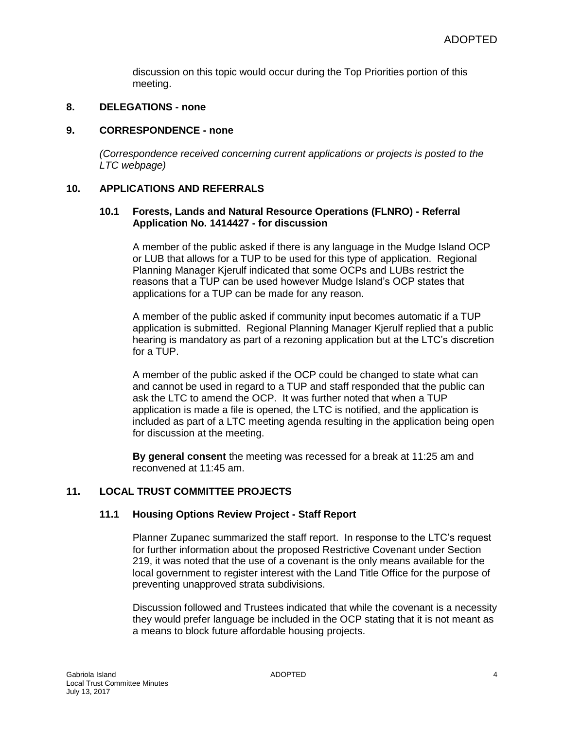discussion on this topic would occur during the Top Priorities portion of this meeting.

## **8. DELEGATIONS - none**

#### **9. CORRESPONDENCE - none**

*(Correspondence received concerning current applications or projects is posted to the LTC webpage)*

### **10. APPLICATIONS AND REFERRALS**

### **10.1 Forests, Lands and Natural Resource Operations (FLNRO) - Referral Application No. 1414427 - for discussion**

A member of the public asked if there is any language in the Mudge Island OCP or LUB that allows for a TUP to be used for this type of application. Regional Planning Manager Kjerulf indicated that some OCPs and LUBs restrict the reasons that a TUP can be used however Mudge Island's OCP states that applications for a TUP can be made for any reason.

A member of the public asked if community input becomes automatic if a TUP application is submitted. Regional Planning Manager Kjerulf replied that a public hearing is mandatory as part of a rezoning application but at the LTC's discretion for a TUP.

A member of the public asked if the OCP could be changed to state what can and cannot be used in regard to a TUP and staff responded that the public can ask the LTC to amend the OCP. It was further noted that when a TUP application is made a file is opened, the LTC is notified, and the application is included as part of a LTC meeting agenda resulting in the application being open for discussion at the meeting.

**By general consent** the meeting was recessed for a break at 11:25 am and reconvened at 11:45 am.

### **11. LOCAL TRUST COMMITTEE PROJECTS**

### **11.1 Housing Options Review Project - Staff Report**

Planner Zupanec summarized the staff report. In response to the LTC's request for further information about the proposed Restrictive Covenant under Section 219, it was noted that the use of a covenant is the only means available for the local government to register interest with the Land Title Office for the purpose of preventing unapproved strata subdivisions.

Discussion followed and Trustees indicated that while the covenant is a necessity they would prefer language be included in the OCP stating that it is not meant as a means to block future affordable housing projects.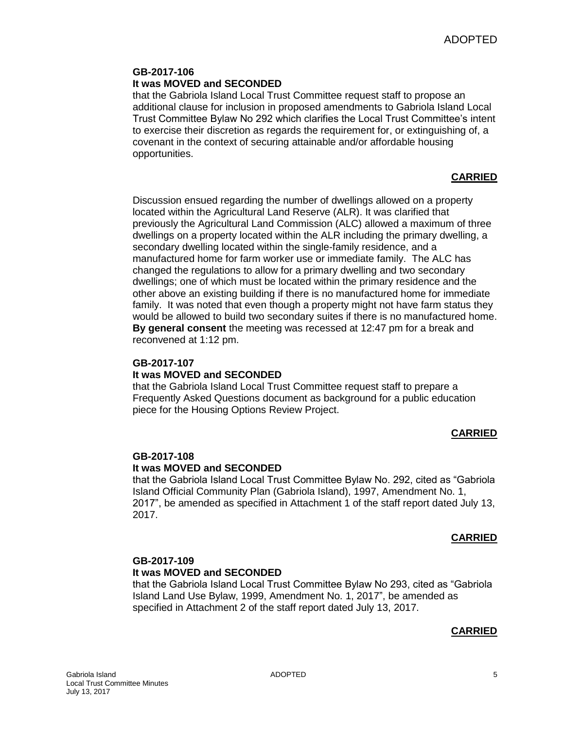### **GB-2017-106 It was MOVED and SECONDED**

that the Gabriola Island Local Trust Committee request staff to propose an additional clause for inclusion in proposed amendments to Gabriola Island Local Trust Committee Bylaw No 292 which clarifies the Local Trust Committee's intent to exercise their discretion as regards the requirement for, or extinguishing of, a covenant in the context of securing attainable and/or affordable housing opportunities.

### **CARRIED**

Discussion ensued regarding the number of dwellings allowed on a property located within the Agricultural Land Reserve (ALR). It was clarified that previously the Agricultural Land Commission (ALC) allowed a maximum of three dwellings on a property located within the ALR including the primary dwelling, a secondary dwelling located within the single-family residence, and a manufactured home for farm worker use or immediate family. The ALC has changed the regulations to allow for a primary dwelling and two secondary dwellings; one of which must be located within the primary residence and the other above an existing building if there is no manufactured home for immediate family. It was noted that even though a property might not have farm status they would be allowed to build two secondary suites if there is no manufactured home. **By general consent** the meeting was recessed at 12:47 pm for a break and reconvened at 1:12 pm.

### **GB-2017-107**

### **It was MOVED and SECONDED**

that the Gabriola Island Local Trust Committee request staff to prepare a Frequently Asked Questions document as background for a public education piece for the Housing Options Review Project.

### **CARRIED**

# **GB-2017-108**

#### **It was MOVED and SECONDED**

that the Gabriola Island Local Trust Committee Bylaw No. 292, cited as "Gabriola Island Official Community Plan (Gabriola Island), 1997, Amendment No. 1, 2017", be amended as specified in Attachment 1 of the staff report dated July 13, 2017.

#### **CARRIED**

# **GB-2017-109 It was MOVED and SECONDED**

that the Gabriola Island Local Trust Committee Bylaw No 293, cited as "Gabriola Island Land Use Bylaw, 1999, Amendment No. 1, 2017", be amended as specified in Attachment 2 of the staff report dated July 13, 2017.

### **CARRIED**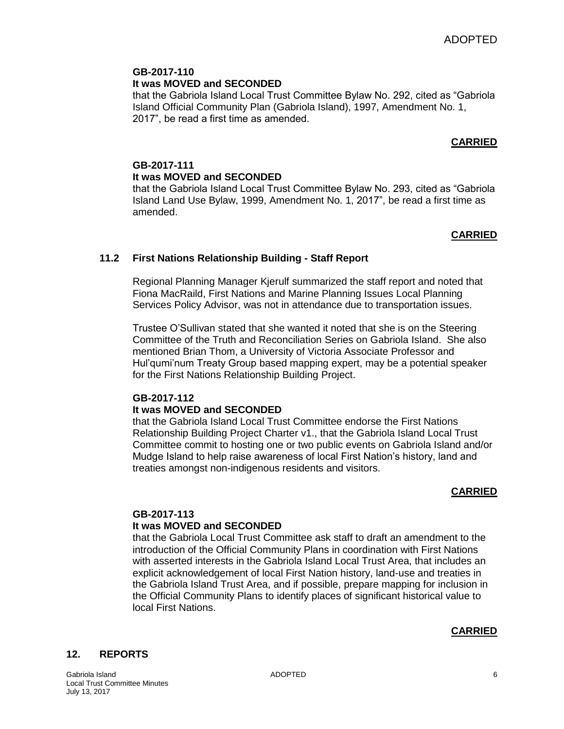### **GB-2017-110 It was MOVED and SECONDED**

that the Gabriola Island Local Trust Committee Bylaw No. 292, cited as "Gabriola Island Official Community Plan (Gabriola Island), 1997, Amendment No. 1, 2017", be read a first time as amended.

# **CARRIED**

# **GB-2017-111 It was MOVED and SECONDED**

that the Gabriola Island Local Trust Committee Bylaw No. 293, cited as "Gabriola Island Land Use Bylaw, 1999, Amendment No. 1, 2017", be read a first time as amended.

# **CARRIED**

# **11.2 First Nations Relationship Building - Staff Report**

Regional Planning Manager Kjerulf summarized the staff report and noted that Fiona MacRaild, First Nations and Marine Planning Issues Local Planning Services Policy Advisor, was not in attendance due to transportation issues.

Trustee O'Sullivan stated that she wanted it noted that she is on the Steering Committee of the Truth and Reconciliation Series on Gabriola Island. She also mentioned Brian Thom, a University of Victoria Associate Professor and Hul'qumi'num Treaty Group based mapping expert, may be a potential speaker for the First Nations Relationship Building Project.

# **GB-2017-112**

# **It was MOVED and SECONDED**

that the Gabriola Island Local Trust Committee endorse the First Nations Relationship Building Project Charter v1., that the Gabriola Island Local Trust Committee commit to hosting one or two public events on Gabriola Island and/or Mudge Island to help raise awareness of local First Nation's history, land and treaties amongst non-indigenous residents and visitors.

### **CARRIED**

### **GB-2017-113 It was MOVED and SECONDED**

that the Gabriola Local Trust Committee ask staff to draft an amendment to the introduction of the Official Community Plans in coordination with First Nations with asserted interests in the Gabriola Island Local Trust Area, that includes an explicit acknowledgement of local First Nation history, land-use and treaties in the Gabriola Island Trust Area, and if possible, prepare mapping for inclusion in the Official Community Plans to identify places of significant historical value to local First Nations.

### **CARRIED**

### **12. REPORTS**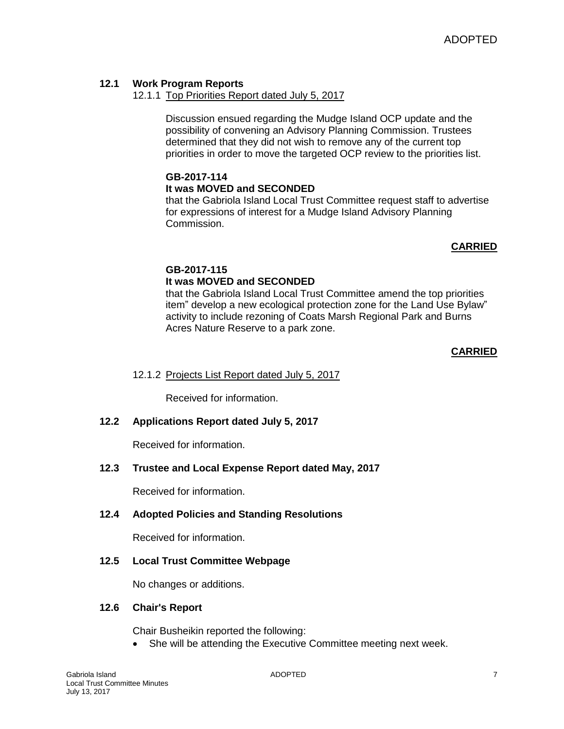# **12.1 Work Program Reports**

## 12.1.1 Top Priorities Report dated July 5, 2017

Discussion ensued regarding the Mudge Island OCP update and the possibility of convening an Advisory Planning Commission. Trustees determined that they did not wish to remove any of the current top priorities in order to move the targeted OCP review to the priorities list.

# **GB-2017-114**

### **It was MOVED and SECONDED**

that the Gabriola Island Local Trust Committee request staff to advertise for expressions of interest for a Mudge Island Advisory Planning Commission.

### **CARRIED**

### **GB-2017-115**

### **It was MOVED and SECONDED**

that the Gabriola Island Local Trust Committee amend the top priorities item" develop a new ecological protection zone for the Land Use Bylaw" activity to include rezoning of Coats Marsh Regional Park and Burns Acres Nature Reserve to a park zone.

#### **CARRIED**

### 12.1.2 Projects List Report dated July 5, 2017

Received for information.

### **12.2 Applications Report dated July 5, 2017**

Received for information.

### **12.3 Trustee and Local Expense Report dated May, 2017**

Received for information.

### **12.4 Adopted Policies and Standing Resolutions**

Received for information.

### **12.5 Local Trust Committee Webpage**

No changes or additions.

#### **12.6 Chair's Report**

Chair Busheikin reported the following:

• She will be attending the Executive Committee meeting next week.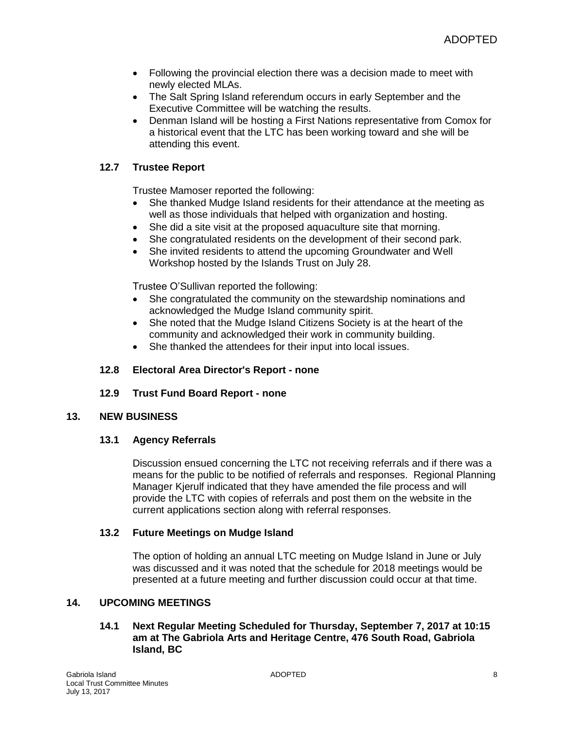- Following the provincial election there was a decision made to meet with newly elected MLAs.
- The Salt Spring Island referendum occurs in early September and the Executive Committee will be watching the results.
- Denman Island will be hosting a First Nations representative from Comox for a historical event that the LTC has been working toward and she will be attending this event.

# **12.7 Trustee Report**

Trustee Mamoser reported the following:

- She thanked Mudge Island residents for their attendance at the meeting as well as those individuals that helped with organization and hosting.
- She did a site visit at the proposed aquaculture site that morning.
- She congratulated residents on the development of their second park.
- She invited residents to attend the upcoming Groundwater and Well Workshop hosted by the Islands Trust on July 28.

Trustee O'Sullivan reported the following:

- She congratulated the community on the stewardship nominations and acknowledged the Mudge Island community spirit.
- She noted that the Mudge Island Citizens Society is at the heart of the community and acknowledged their work in community building.
- She thanked the attendees for their input into local issues.

### **12.8 Electoral Area Director's Report - none**

**12.9 Trust Fund Board Report - none**

### **13. NEW BUSINESS**

### **13.1 Agency Referrals**

Discussion ensued concerning the LTC not receiving referrals and if there was a means for the public to be notified of referrals and responses. Regional Planning Manager Kjerulf indicated that they have amended the file process and will provide the LTC with copies of referrals and post them on the website in the current applications section along with referral responses.

### **13.2 Future Meetings on Mudge Island**

The option of holding an annual LTC meeting on Mudge Island in June or July was discussed and it was noted that the schedule for 2018 meetings would be presented at a future meeting and further discussion could occur at that time.

### **14. UPCOMING MEETINGS**

### **14.1 Next Regular Meeting Scheduled for Thursday, September 7, 2017 at 10:15 am at The Gabriola Arts and Heritage Centre, 476 South Road, Gabriola Island, BC**